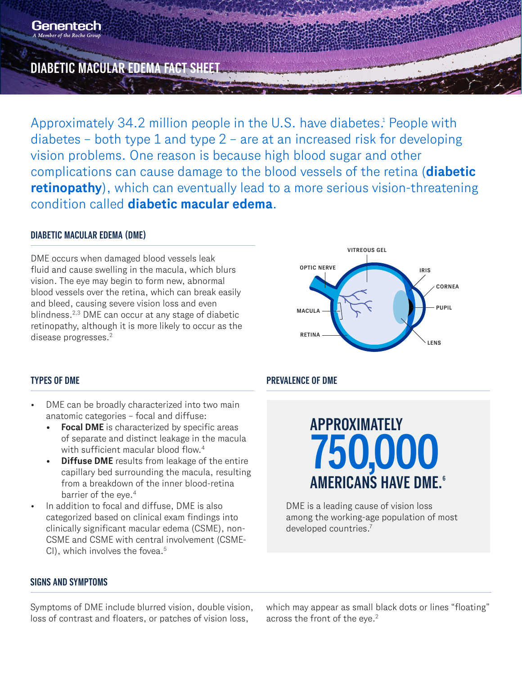## **DIABETIC MACULAR EDEMA FACT SHEET**

Approximately 34.2 million people in the U.S. have diabetes.<sup>1</sup> People with diabetes – both type 1 and type  $2$  – are at an increased risk for developing vision problems. One reason is because high blood sugar and other complications can cause damage to the blood vessels of the retina (**diabetic retinopathy**), which can eventually lead to a more serious vision-threatening condition called **diabetic macular edema**.

### **DIABETIC MACULAR EDEMA (DME)**

DME occurs when damaged blood vessels leak fluid and cause swelling in the macula, which blurs vision. The eye may begin to form new, abnormal blood vessels over the retina, which can break easily and bleed, causing severe vision loss and even blindness.2,3 DME can occur at any stage of diabetic retinopathy, although it is more likely to occur as the disease progresses.<sup>2</sup>



- DME can be broadly characterized into two main anatomic categories – focal and diffuse:
	- **• Focal DME** is characterized by specific areas of separate and distinct leakage in the macula with sufficient macular blood flow.<sup>4</sup>
	- **• Diffuse DME** results from leakage of the entire capillary bed surrounding the macula, resulting from a breakdown of the inner blood-retina barrier of the eye.4
- In addition to focal and diffuse, DME is also categorized based on clinical exam findings into clinically significant macular edema (CSME), non-CSME and CSME with central involvement (CSME-CI), which involves the fovea.<sup>5</sup>

### **TYPES OF DME PREVALENCE OF DME**

# **750,000 AMERICANS HAVE DME.6 APPROXIMATELY**

DME is a leading cause of vision loss among the working-age population of most developed countries.7

### **SIGNS AND SYMPTOMS**

Symptoms of DME include blurred vision, double vision, loss of contrast and floaters, or patches of vision loss,

which may appear as small black dots or lines "floating" across the front of the eye.<sup>2</sup>